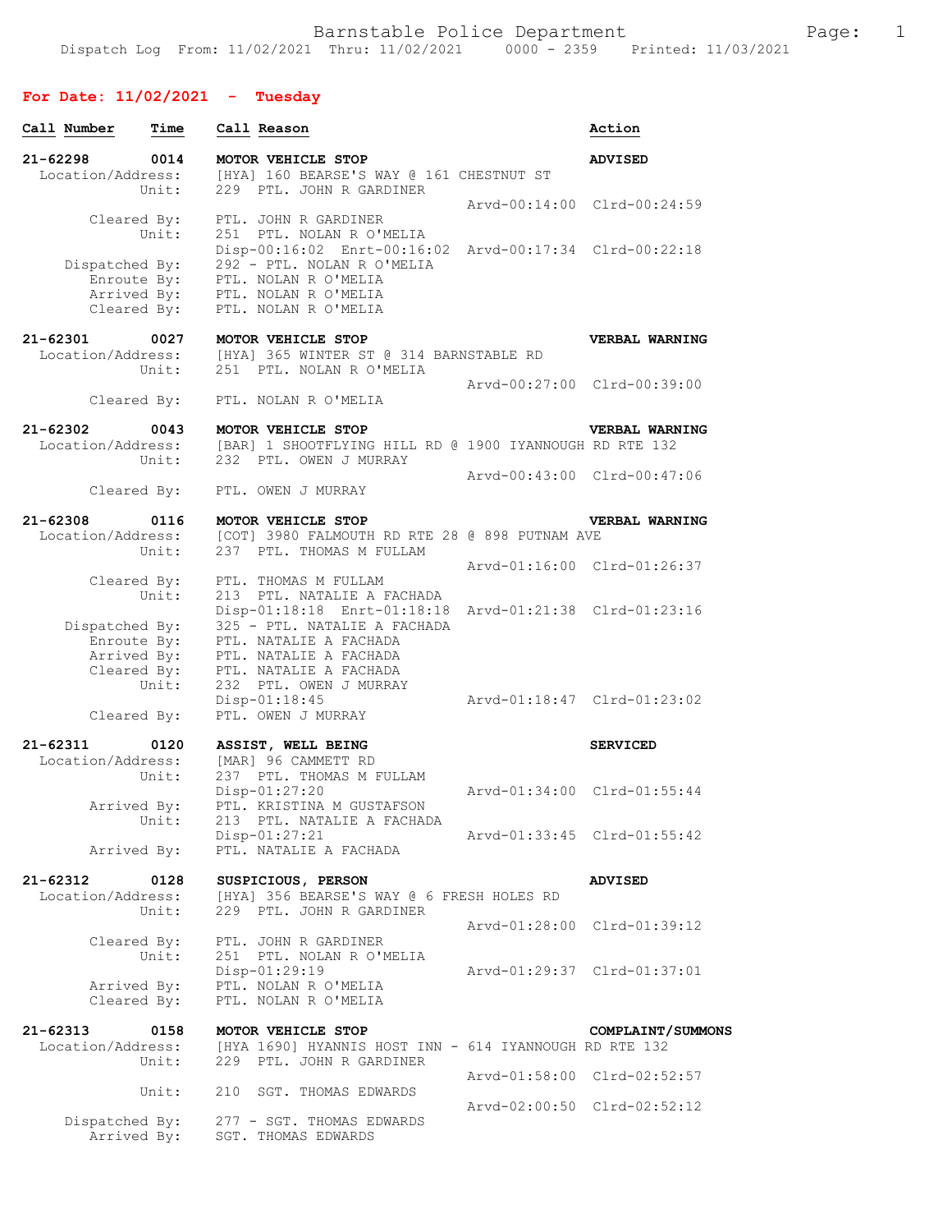## **For Date: 11/02/2021 - Tuesday**

| Call Number                                                 | Time          | Call Reason                                                                                                                                                               | Action                      |
|-------------------------------------------------------------|---------------|---------------------------------------------------------------------------------------------------------------------------------------------------------------------------|-----------------------------|
| $21 - 62298$<br>Location/Address:                           | 0014<br>Unit: | MOTOR VEHICLE STOP<br>[HYA] 160 BEARSE'S WAY @ 161 CHESTNUT ST<br>229 PTL. JOHN R GARDINER                                                                                | <b>ADVISED</b>              |
| Cleared By:                                                 | Unit:         | PTL. JOHN R GARDINER<br>251 PTL. NOLAN R O'MELIA                                                                                                                          | Arvd-00:14:00 Clrd-00:24:59 |
| Dispatched By:<br>Enroute By:<br>Arrived By:<br>Cleared By: |               | Disp-00:16:02 Enrt-00:16:02 Arvd-00:17:34 Clrd-00:22:18<br>292 - PTL. NOLAN R O'MELIA<br>PTL. NOLAN R O'MELIA<br>PTL. NOLAN R O'MELIA<br>PTL. NOLAN R O'MELIA             |                             |
| $21 - 62301$<br>Location/Address:                           | 0027<br>Unit: | MOTOR VEHICLE STOP<br>[HYA] 365 WINTER ST @ 314 BARNSTABLE RD<br>251 PTL. NOLAN R O'MELIA                                                                                 | <b>VERBAL WARNING</b>       |
|                                                             | Cleared By:   | PTL. NOLAN R O'MELIA                                                                                                                                                      | Arvd-00:27:00 Clrd-00:39:00 |
| $21 - 62302$                                                | 0043<br>Unit: | MOTOR VEHICLE STOP<br>Location/Address: [BAR] 1 SHOOTFLYING HILL RD @ 1900 IYANNOUGH RD RTE 132<br>232 PTL. OWEN J MURRAY                                                 | <b>VERBAL WARNING</b>       |
| Cleared By:                                                 |               | PTL. OWEN J MURRAY                                                                                                                                                        | Arvd-00:43:00 Clrd-00:47:06 |
| $21 - 62308$<br>Location/Address:                           | 0116<br>Unit: | MOTOR VEHICLE STOP<br>[COT] 3980 FALMOUTH RD RTE 28 @ 898 PUTNAM AVE<br>237 PTL. THOMAS M FULLAM                                                                          | <b>VERBAL WARNING</b>       |
| Cleared By:                                                 |               | PTL. THOMAS M FULLAM                                                                                                                                                      | Arvd-01:16:00 Clrd-01:26:37 |
| Dispatched By:<br>Enroute By:<br>Arrived By:                | Unit:         | 213 PTL. NATALIE A FACHADA<br>Disp-01:18:18 Enrt-01:18:18 Arvd-01:21:38 Clrd-01:23:16<br>325 - PTL. NATALIE A FACHADA<br>PTL. NATALIE A FACHADA<br>PTL. NATALIE A FACHADA |                             |
| Cleared By:<br>Cleared By:                                  | Unit:         | PTL. NATALIE A FACHADA<br>232 PTL. OWEN J MURRAY<br>$Disp-01:18:45$<br>PTL. OWEN J MURRAY                                                                                 | Arvd-01:18:47 Clrd-01:23:02 |
| 21-62311                                                    | 0120          | ASSIST, WELL BEING                                                                                                                                                        | <b>SERVICED</b>             |
| Location/Address:<br>Arrived By:                            | Unit:         | [MAR] 96 CAMMETT RD<br>237 PTL. THOMAS M FULLAM<br>$Disp-01:27:20$<br>PTL. KRISTINA M GUSTAFSON                                                                           | Arvd-01:34:00 Clrd-01:55:44 |
| Arrived By:                                                 | Unit:         | 213 PTL. NATALIE A FACHADA<br>Disp-01:27:21<br>PTL. NATALIE A FACHADA                                                                                                     | Arvd-01:33:45 Clrd-01:55:42 |
| $21 - 62312$                                                | 0128          | SUSPICIOUS, PERSON                                                                                                                                                        | <b>ADVISED</b>              |
| Location/Address:                                           | Unit:         | [HYA] 356 BEARSE'S WAY @ 6 FRESH HOLES RD<br>229 PTL. JOHN R GARDINER                                                                                                     |                             |
| Cleared By:                                                 |               | PTL. JOHN R GARDINER                                                                                                                                                      | Arvd-01:28:00 Clrd-01:39:12 |
| Arrived By:<br>Cleared By:                                  | Unit:         | 251 PTL. NOLAN R O'MELIA<br>Disp-01:29:19<br>PTL. NOLAN R O'MELIA<br>PTL. NOLAN R O'MELIA                                                                                 | Arvd-01:29:37 Clrd-01:37:01 |
| $21 - 62313$<br>Location/Address:                           | 0158<br>Unit: | MOTOR VEHICLE STOP<br>[HYA 1690] HYANNIS HOST INN - 614 IYANNOUGH RD RTE 132<br>229 PTL. JOHN R GARDINER                                                                  | COMPLAINT/SUMMONS           |
|                                                             | Unit:         | 210 SGT. THOMAS EDWARDS                                                                                                                                                   | Arvd-01:58:00 Clrd-02:52:57 |
| Dispatched By:                                              |               | 277 - SGT. THOMAS EDWARDS                                                                                                                                                 | Arvd-02:00:50 Clrd-02:52:12 |
| Arrived By:                                                 |               | SGT. THOMAS EDWARDS                                                                                                                                                       |                             |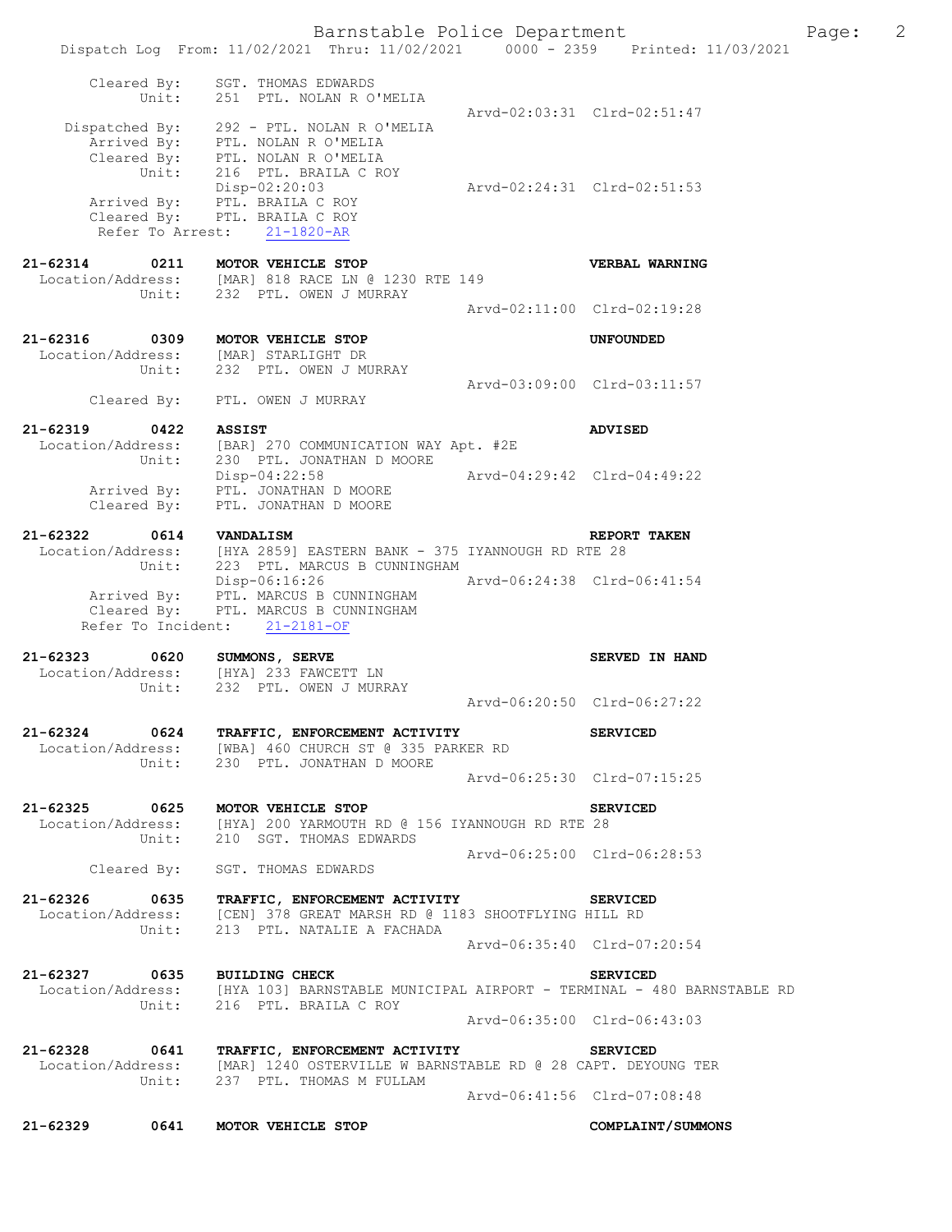Dispatch Log From: 11/02/2021 Thru: 11/02/2021 0000 - 2359 Printed: 11/03/2021 Cleared By: SGT. THOMAS EDWARDS Unit: 251 PTL. NOLAN R O'MELIA Arvd-02:03:31 Clrd-02:51:47 Dispatched By: 292 - PTL. NOLAN R O'MELIA Arrived By: PTL. NOLAN R O'MELIA Cleared By: PTL. NOLAN R O'MELIA Unit: 216 PTL. BRAILA C ROY Disp-02:20:03 Arvd-02:24:31 Clrd-02:51:53 Arrived By: PTL. BRAILA C ROY Cleared By: PTL. BRAILA C ROY Refer To Arrest: 21-1820-AR **21-62314 0211 MOTOR VEHICLE STOP CONTRACT VERBAL WARNING** Location/Address: [MAR] 818 RACE LN @ 1230 RTE 149 Location/Address: [MAR] 818 RACE LN @ 1230 RTE 149 Unit: 232 PTL. OWEN J MURRAY Arvd-02:11:00 Clrd-02:19:28 **21-62316 0309 MOTOR VEHICLE STOP UNFOUNDED**  Location/Address: [MAR] STARLIGHT DR<br>Unit: 232 PTL. OWEN J MU 232 PTL. OWEN J MURRAY Arvd-03:09:00 Clrd-03:11:57 Cleared By: PTL. OWEN J MURRAY **21-62319 0422 ASSIST ADVISED**  Location/Address: [BAR] 270 COMMUNICATION WAY Apt. #2E Unit: 230 PTL. JONATHAN D MOORE Disp-04:22:58 Arvd-04:29:42 Clrd-04:49:22 Arrived By: PTL. JONATHAN D MOORE Cleared By: PTL. JONATHAN D MOORE **21-62322 0614 VANDALISM REPORT TAKEN**  Location/Address: [HYA 2859] EASTERN BANK - 375 IYANNOUGH RD RTE 28 Unit: 223 PTL. MARCUS B CUNNINGHAM Disp-06:16:26 Arvd-06:24:38 Clrd-06:41:54 Arrived By: PTL. MARCUS B CUNNINGHAM Cleared By: PTL. MARCUS B CUNNINGHAM Refer To Incident: 21-2181-OF **21-62323 0620 SUMMONS, SERVE SERVED IN HAND**  Location/Address: [HYA] 233 FAWCETT LN Unit: 232 PTL. OWEN J MURRAY Arvd-06:20:50 Clrd-06:27:22 **21-62324 0624 TRAFFIC, ENFORCEMENT ACTIVITY SERVICED**  Location/Address: [WBA] 460 CHURCH ST @ 335 PARKER RD Unit: 230 PTL. JONATHAN D MOORE Arvd-06:25:30 Clrd-07:15:25 **21-62325 0625 MOTOR VEHICLE STOP SERVICED**  Location/Address: [HYA] 200 YARMOUTH RD @ 156 IYANNOUGH RD RTE 28 Unit: 210 SGT. THOMAS EDWARDS Arvd-06:25:00 Clrd-06:28:53<br>Cleared By: SGT. THOMAS EDWARDS SGT. THOMAS EDWARDS **21-62326 0635 TRAFFIC, ENFORCEMENT ACTIVITY SERVICED**  Location/Address: [CEN] 378 GREAT MARSH RD @ 1183 SHOOTFLYING HILL RD<br>Unit: 213 PTL. NATALIE A FACHADA 213 PTL. NATALIE A FACHADA Arvd-06:35:40 Clrd-07:20:54 **21-62327 0635 BUILDING CHECK SERVICED**  Location/Address: [HYA 103] BARNSTABLE MUNICIPAL AIRPORT - TERMINAL - 480 BARNSTABLE RD Unit: 216 PTL. BRAILA C ROY Arvd-06:35:00 Clrd-06:43:03 **21-62328 0641 TRAFFIC, ENFORCEMENT ACTIVITY SERVICED**  Location/Address: [MAR] 1240 OSTERVILLE W BARNSTABLE RD @ 28 CAPT. DEYOUNG TER Unit: 237 PTL. THOMAS M FULLAM Arvd-06:41:56 Clrd-07:08:48 **21-62329 0641 MOTOR VEHICLE STOP COMPLAINT/SUMMONS** 

Barnstable Police Department Fage: 2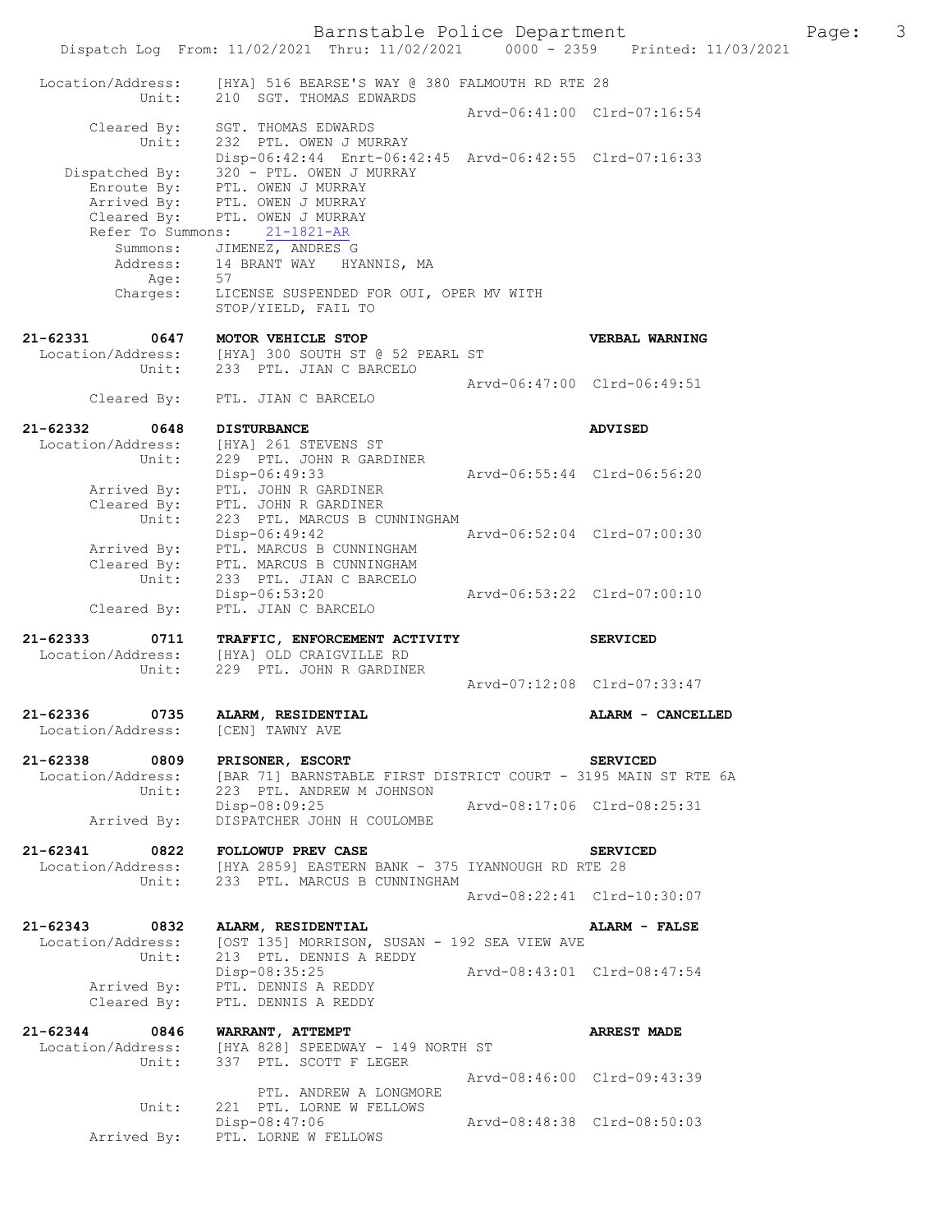|                                       | Barnstable Police Department<br>Dispatch Log From: 11/02/2021 Thru: 11/02/2021 0000 - 2359 Printed: 11/03/2021 |                             |                             | Page: 3 |  |
|---------------------------------------|----------------------------------------------------------------------------------------------------------------|-----------------------------|-----------------------------|---------|--|
| Location/Address:                     | [HYA] 516 BEARSE'S WAY @ 380 FALMOUTH RD RTE 28                                                                |                             |                             |         |  |
| Unit:                                 | 210 SGT. THOMAS EDWARDS                                                                                        |                             | Arvd-06:41:00 Clrd-07:16:54 |         |  |
| Cleared By:<br>Unit:                  | SGT. THOMAS EDWARDS<br>232 PTL. OWEN J MURRAY<br>Disp-06:42:44 Enrt-06:42:45 Arvd-06:42:55 Clrd-07:16:33       |                             |                             |         |  |
| Dispatched By:                        | 320 - PTL. OWEN J MURRAY                                                                                       |                             |                             |         |  |
|                                       | Enroute By: PTL. OWEN J MURRAY                                                                                 |                             |                             |         |  |
| Refer To Summons:                     | Arrived By: PTL. OWEN J MURRAY<br>Cleared By: PTL. OWEN J MURRAY<br>$21 - 1821 - AR$                           |                             |                             |         |  |
|                                       | Summons: JIMENEZ, ANDRES G<br>Address: 14 BRANT WAY HY                                                         |                             |                             |         |  |
| Age:                                  | 14 BRANT WAY HYANNIS, MA<br>57                                                                                 |                             |                             |         |  |
| Charges:                              | LICENSE SUSPENDED FOR OUI, OPER MV WITH<br>STOP/YIELD, FAIL TO                                                 |                             |                             |         |  |
| 21-62331<br>0647                      | MOTOR VEHICLE STOP                                                                                             |                             | VERBAL WARNING              |         |  |
| Unit:                                 | Location/Address: [HYA] 300 SOUTH ST @ 52 PEARL ST<br>233 PTL. JIAN C BARCELO                                  |                             |                             |         |  |
|                                       | Cleared By: PTL. JIAN C BARCELO                                                                                |                             | Arvd-06:47:00 Clrd-06:49:51 |         |  |
|                                       |                                                                                                                |                             |                             |         |  |
| 21-62332<br>0648<br>Location/Address: | <b>DISTURBANCE</b><br>[HYA] 261 STEVENS ST                                                                     |                             | <b>ADVISED</b>              |         |  |
| Unit:                                 | 229 PTL. JOHN R GARDINER<br>Disp-06:49:33                                                                      | Arvd-06:55:44 Clrd-06:56:20 |                             |         |  |
| Arrived By:<br>Cleared By:            | PTL. JOHN R GARDINER<br>PTL. JOHN R GARDINER                                                                   |                             |                             |         |  |
| Unit:                                 | 223 PTL. MARCUS B CUNNINGHAM                                                                                   |                             |                             |         |  |
| Arrived By:                           | Disp-06:49:42<br>PTL. MARCUS B CUNNINGHAM                                                                      | Arvd-06:52:04 Clrd-07:00:30 |                             |         |  |
| Cleared By:                           | PTL. MARCUS B CUNNINGHAM                                                                                       |                             |                             |         |  |
| Unit:                                 | 233 PTL. JIAN C BARCELO<br>Disp-06:53:20                                                                       | Arvd-06:53:22 Clrd-07:00:10 |                             |         |  |
| Cleared By:                           | PTL. JIAN C BARCELO                                                                                            |                             |                             |         |  |
| 21-62333                              | 0711 TRAFFIC, ENFORCEMENT ACTIVITY                                                                             |                             | <b>SERVICED</b>             |         |  |
| Location/Address:<br>Unit:            | [HYA] OLD CRAIGVILLE RD<br>229 PTL, JOHN R GARDINER                                                            |                             |                             |         |  |
|                                       |                                                                                                                |                             | Arvd-07:12:08 Clrd-07:33:47 |         |  |
| 21-62336 0735                         | ALARM, RESIDENTIAL                                                                                             |                             | ALARM - CANCELLED           |         |  |
| Location/Address:                     | [CEN] TAWNY AVE                                                                                                |                             |                             |         |  |
| 21-62338 0809 PRISONER, ESCORT        |                                                                                                                |                             | <b>SERVICED</b>             |         |  |
| Unit:                                 | Location/Address: [BAR 71] BARNSTABLE FIRST DISTRICT COURT - 3195 MAIN ST RTE 6A<br>223 PTL. ANDREW M JOHNSON  |                             |                             |         |  |
| Arrived By:                           | Disp-08:09:25 Arvd-08:17:06 Clrd-08:25:31<br>DISPATCHER JOHN H COULOMBE                                        |                             |                             |         |  |
| 21-62341                              | 0822 FOLLOWUP PREV CASE                                                                                        |                             | <b>SERVICED</b>             |         |  |
|                                       | Location/Address: [HYA 2859] EASTERN BANK - 375 IYANNOUGH RD RTE 28                                            |                             |                             |         |  |
|                                       | Unit: 233 PTL. MARCUS B CUNNINGHAM                                                                             | Arvd-08:22:41 Clrd-10:30:07 |                             |         |  |
|                                       | 21-62343 0832 ALARM, RESIDENTIAL                                                                               |                             | ALARM - FALSE               |         |  |
|                                       | Location/Address: [OST 135] MORRISON, SUSAN - 192 SEA VIEW AVE                                                 |                             |                             |         |  |
| Unit:                                 | 213 PTL. DENNIS A REDDY<br>Disp-08:35:25 Arvd-08:43:01 Clrd-08:47:54                                           |                             |                             |         |  |
|                                       | Arrived By: PTL. DENNIS A REDDY<br>Cleared By: PTL. DENNIS A REDDY                                             |                             |                             |         |  |
| 21-62344 0846 WARRANT, ATTEMPT        |                                                                                                                |                             | <b>ARREST MADE</b>          |         |  |
|                                       | Location/Address: [HYA 828] SPEEDWAY - 149 NORTH ST<br>Unit: 337 PTL. SCOTT F LEGER                            |                             |                             |         |  |
|                                       |                                                                                                                |                             | Arvd-08:46:00 Clrd-09:43:39 |         |  |
| Unit:                                 | PTL. ANDREW A LONGMORE<br>221 PTL. LORNE W FELLOWS                                                             |                             |                             |         |  |
|                                       | Disp-08:47:06                                                                                                  | Arvd-08:48:38 Clrd-08:50:03 |                             |         |  |

Arrived By: PTL. LORNE W FELLOWS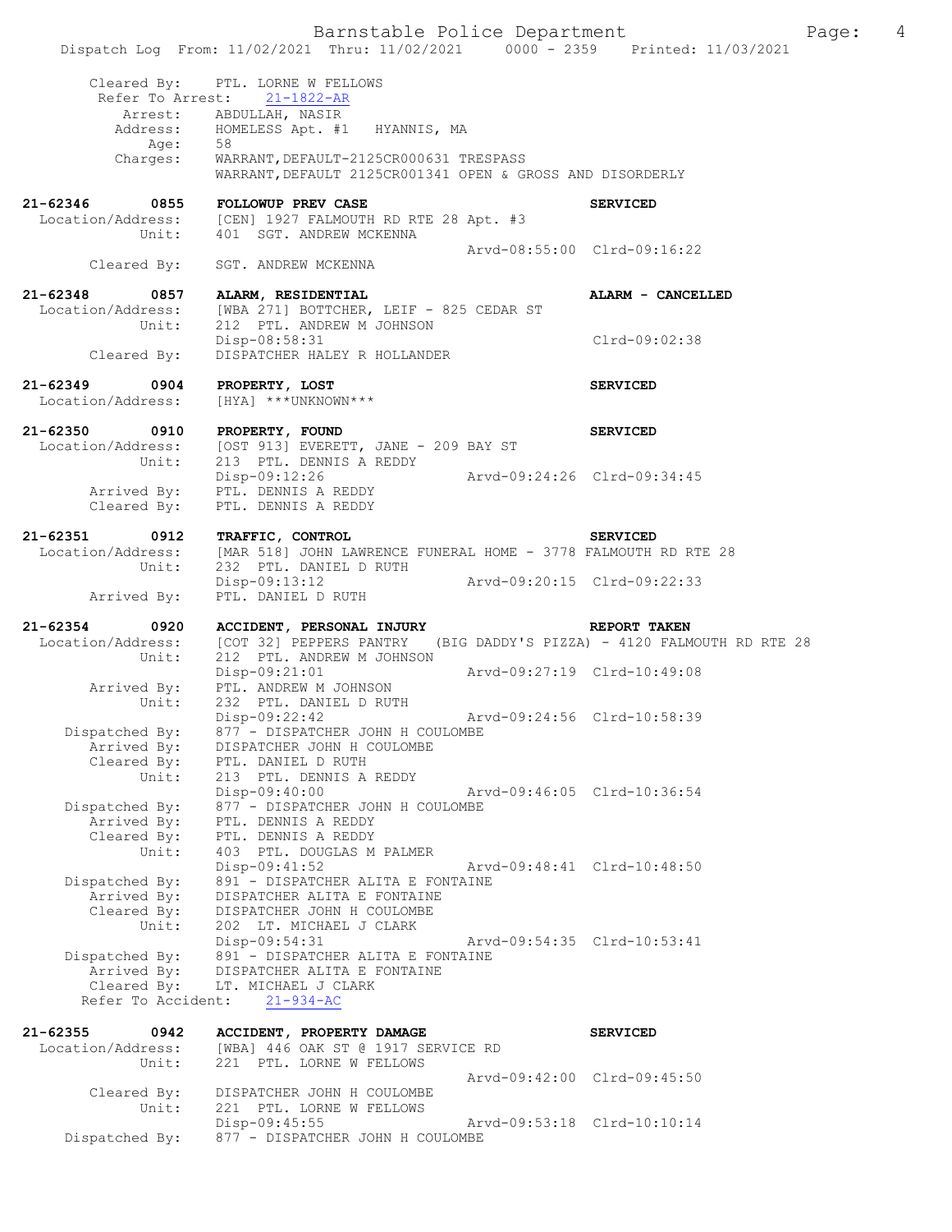Barnstable Police Department Fage: 4 Dispatch Log From: 11/02/2021 Thru: 11/02/2021 0000 - 2359 Printed: 11/03/2021 Cleared By: PTL. LORNE W FELLOWS Refer To Arrest: 21-1822-AR Arrest: ABDULLAH, NASIR Address: HOMELESS Apt. #1 HYANNIS, MA Age: 58 Charges: WARRANT, DEFAULT-2125CR000631 TRESPASS WARRANT,DEFAULT 2125CR001341 OPEN & GROSS AND DISORDERLY **21-62346 0855 FOLLOWUP PREV CASE SERVICED**  Location/Address: [CEN] 1927 FALMOUTH RD RTE 28 Apt. #3 Unit: 401 SGT. ANDREW MCKENNA Arvd-08:55:00 Clrd-09:16:22<br>Cleared By: SGT. ANDREW MCKENNA SGT. ANDREW MCKENNA **21-62348 0857 ALARM, RESIDENTIAL ALARM - CANCELLED**  Location/Address: [WBA 271] BOTTCHER, LEIF - 825 CEDAR ST<br>Unit: 212 PTL. ANDREW M JOHNSON 212 PTL. ANDREW M JOHNSON<br>Disp-08:58:31 Clrd-09:02:38 Cleared By: DISPATCHER HALEY R HOLLANDER **21-62349 0904 PROPERTY, LOST SERVICED**  Location/Address: [HYA] \*\*\*UNKNOWN\*\*\* **21-62350 0910 PROPERTY, FOUND SERVICED**  Location/Address: [OST 913] EVERETT, JANE - 209 BAY ST Unit: 213 PTL. DENNIS A REDDY Disp-09:12:26 Arvd-09:24:26 Clrd-09:34:45 Arrived By: PTL. DENNIS A REDDY Cleared By: PTL. DENNIS A REDDY **21-62351 0912 TRAFFIC, CONTROL SERVICED**  Location/Address: [MAR 518] JOHN LAWRENCE FUNERAL HOME - 3778 FALMOUTH RD RTE 28<br>Unit: 232 PTL. DANIEL D RUTH 232 PTL. DANIEL D RUTH<br>Disp-09:13:12 Disp-09:13:12 Arvd-09:20:15 Clrd-09:22:33 Arrived By: PTL. DANIEL D RUTH **21-62354 0920 ACCIDENT, PERSONAL INJURY REPORT TAKEN**  Location/Address: [COT 32] PEPPERS PANTRY (BIG DADDY'S PIZZA) - 4120 FALMOUTH RD RTE 28<br>Unit: 212 PTL. ANDREW M JOHNSON 212 PTL. ANDREW M JOHNSON<br>Disp-09:21:01 Disp-09:21:01 Arvd-09:27:19 Clrd-10:49:08 Arrived By: PTL. ANDREW M JOHNSON Unit: 232 PTL. DANIEL D RUTH<br>Disp-09:22:42 Disp-09:22:42 Arvd-09:24:56 Clrd-10:58:39 Dispatched By: 877 - DISPATCHER JOHN H COULOMBE Arrived By: DISPATCHER JOHN H COULOMBE Cleared By: PTL. DANIEL D RUTH Unit: 213 PTL. DENNIS A REDDY Disp-09:40:00 Arvd-09:46:05 Clrd-10:36:54 Dispatched By: 877 - DISPATCHER JOHN H COULOMBE Arrived By: PTL. DENNIS A REDDY Cleared By: PTL. DENNIS A REDDY Unit: 403 PTL. DOUGLAS M PALMER Disp-09:41:52 Arvd-09:48:41 Clrd-10:48:50 Dispatched By: 891 - DISPATCHER ALITA E FONTAINE Arrived By: DISPATCHER ALITA E FONTAINE Cleared By: DISPATCHER JOHN H COULOMBE Unit: 202 LT. MICHAEL J CLARK Disp-09:54:31 Arvd-09:54:35 Clrd-10:53:41<br>Dispatched By: 891 - DISPATCHER ALITA E FONTAINE 891 - DISPATCHER ALITA E FONTAINE Arrived By: DISPATCHER ALITA E FONTAINE Cleared By: LT. MICHAEL J CLARK Refer To Accident: 21-934-AC **21-62355 0942 ACCIDENT, PROPERTY DAMAGE SERVICED**  Location/Address: [WBA] 446 OAK ST @ 1917 SERVICE RD Unit: 221 PTL. LORNE W FELLOWS Arvd-09:42:00 Clrd-09:45:50<br>Cleared By: DISPATCHER JOHN H COULOMBE Cleared By: DISPATCHER JOHN H COULOMBE Unit: 221 PTL. LORNE W FELLOWS Disp-09:45:55 Arvd-09:53:18 Clrd-10:10:14 Dispatched By: 877 - DISPATCHER JOHN H COULOMBE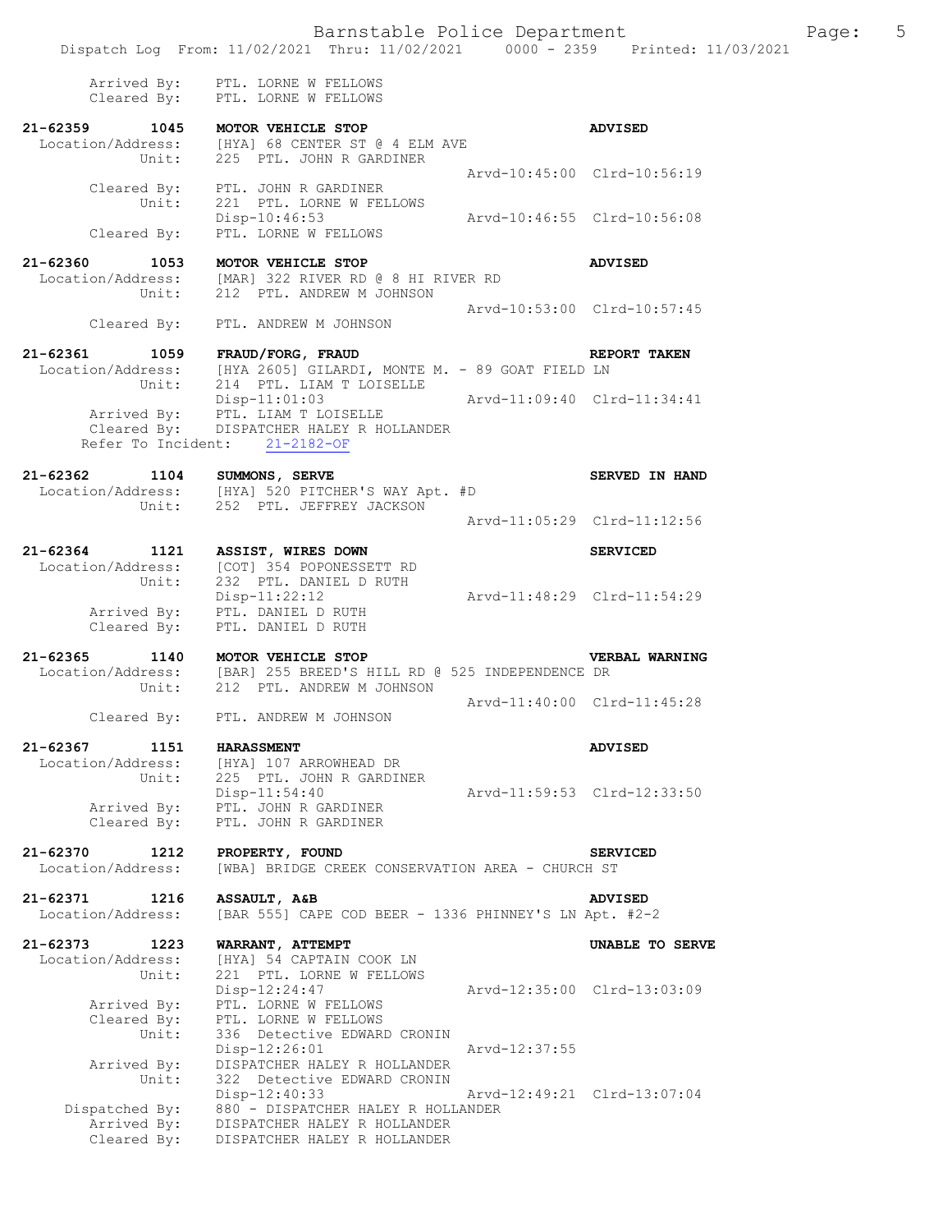|                                                       | Dispatch Log From: 11/02/2021 Thru: 11/02/2021 0000 - 2359 Printed: 11/03/2021                                                                                                    |                             |                       |
|-------------------------------------------------------|-----------------------------------------------------------------------------------------------------------------------------------------------------------------------------------|-----------------------------|-----------------------|
| Cleared By:                                           | Arrived By: PTL. LORNE W FELLOWS<br>PTL. LORNE W FELLOWS                                                                                                                          |                             |                       |
|                                                       | 21-62359 1045 MOTOR VEHICLE STOP<br>Location/Address: [HYA] 68 CENTER ST @ 4 ELM AVE<br>Unit: 225 PTL. JOHN R GARDINER                                                            |                             | <b>ADVISED</b>        |
|                                                       | Cleared By: PTL. JOHN R GARDINER                                                                                                                                                  | Arvd-10:45:00 Clrd-10:56:19 |                       |
|                                                       | Unit: 221 PTL. LORNE W FELLOWS<br>Disp-10:46:53<br>Cleared By: PTL. LORNE W FELLOWS                                                                                               | Arvd-10:46:55 Clrd-10:56:08 |                       |
| $21 - 62360$                                          | 1053 MOTOR VEHICLE STOP                                                                                                                                                           |                             | <b>ADVISED</b>        |
|                                                       | Location/Address: [MAR] 322 RIVER RD @ 8 HI RIVER RD<br>Unit: 212 PTL. ANDREW M JOHNSON                                                                                           |                             |                       |
|                                                       | Cleared By: PTL. ANDREW M JOHNSON                                                                                                                                                 | Arvd-10:53:00 Clrd-10:57:45 |                       |
| $21 - 62361$                                          | 1059 FRAUD/FORG, FRAUD<br>$\texttt{Location/Address:} \qquad \texttt{[HYA 2605] GILARDI, MONTE M. - 89 GOAT FIELD LN} \\ \texttt{Unit:} \qquad \texttt{214 PTL. LIAM T LOISELLE}$ |                             | REPORT TAKEN          |
|                                                       | $Disp-11:01:03$<br>Arvd-11:09:40 Clrd-11:34:41<br>Arrived By: PTL. LIAM T LOISELLE<br>Cleared By: DISPATCHER HALEY R HOLLANDER<br>Refer To Incident: 21-2182-OF                   |                             |                       |
| 21-62362                                              | 1104 SUMMONS, SERVE<br>Location/Address: [HYA] 520 PITCHER'S WAY Apt. #D<br>Unit: 252 PTL. JEFFREY JACKSON                                                                        |                             | <b>SERVED IN HAND</b> |
|                                                       |                                                                                                                                                                                   | Arvd-11:05:29 Clrd-11:12:56 |                       |
| $21 - 62364$<br>1121<br>Location/Address:             | ASSIST, WIRES DOWN<br>[COT] 354 POPONESSETT RD                                                                                                                                    |                             | <b>SERVICED</b>       |
| Unit:                                                 | 232 PTL. DANIEL D RUTH<br>Disp-11:22:12<br>Arrived By: PTL. DANIEL D RUTH<br>Cleared By: PTL. DANIEL D RUTH                                                                       | Arvd-11:48:29 Clrd-11:54:29 |                       |
| $21 - 62365$<br>Unit:                                 | 1140 MOTOR VEHICLE STOP<br>Location/Address: [BAR] 255 BREED'S HILL RD @ 525 INDEPENDENCE DR<br>212 PTL. ANDREW M JOHNSON                                                         |                             | <b>VERBAL WARNING</b> |
|                                                       | Cleared By: PTL. ANDREW M JOHNSON                                                                                                                                                 | Arvd-11:40:00 Clrd-11:45:28 |                       |
| 21-62367<br>1151<br>Location/Address:                 | <b>HARASSMENT</b><br>[HYA] 107 ARROWHEAD DR                                                                                                                                       |                             | <b>ADVISED</b>        |
| Unit:<br>Arrived By:<br>Cleared By:                   | 225 PTL. JOHN R GARDINER<br>$Disp-11:54:40$<br>PTL. JOHN R GARDINER<br>PTL. JOHN R GARDINER                                                                                       | Arvd-11:59:53 Clrd-12:33:50 |                       |
| 21-62370<br>1212<br>Location/Address:                 | PROPERTY, FOUND<br>[WBA] BRIDGE CREEK CONSERVATION AREA - CHURCH ST                                                                                                               |                             | <b>SERVICED</b>       |
| 21-62371<br>1216                                      | ASSAULT, A&B                                                                                                                                                                      |                             | <b>ADVISED</b>        |
| Location/Address:                                     | [BAR 555] CAPE COD BEER - 1336 PHINNEY'S LN Apt. #2-2                                                                                                                             |                             |                       |
| $21 - 62373$<br>1223<br>Location/Address:             | WARRANT, ATTEMPT<br>[HYA] 54 CAPTAIN COOK LN                                                                                                                                      |                             | UNABLE TO SERVE       |
| Unit:<br>Arrived By:<br>Cleared By:<br>Unit:          | 221 PTL. LORNE W FELLOWS<br>Disp-12:24:47<br>PTL. LORNE W FELLOWS<br>PTL. LORNE W FELLOWS<br>336 Detective EDWARD CRONIN                                                          | Arvd-12:35:00 Clrd-13:03:09 |                       |
| Arrived By:                                           | $Disp-12:26:01$<br>DISPATCHER HALEY R HOLLANDER                                                                                                                                   | Arvd-12:37:55               |                       |
| Unit:<br>Dispatched By:<br>Arrived By:<br>Cleared By: | 322 Detective EDWARD CRONIN<br>$Disp-12:40:33$<br>880 - DISPATCHER HALEY R HOLLANDER<br>DISPATCHER HALEY R HOLLANDER<br>DISPATCHER HALEY R HOLLANDER                              | Arvd-12:49:21 Clrd-13:07:04 |                       |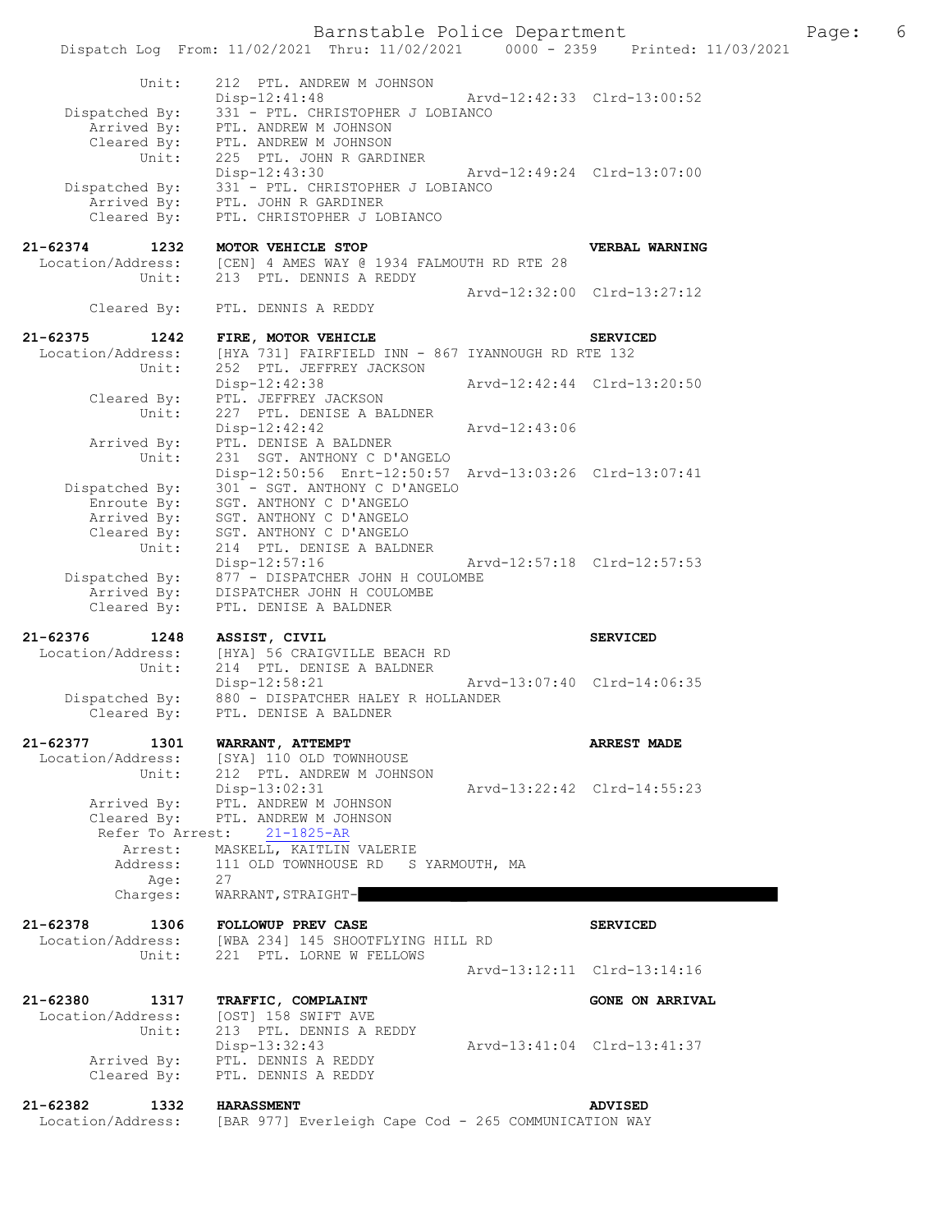Barnstable Police Department Fage: 6 Dispatch Log From: 11/02/2021 Thru: 11/02/2021 0000 - 2359 Printed: 11/03/2021 Unit: 212 PTL. ANDREW M JOHNSON Disp-12:41:48 Arvd-12:42:33 Clrd-13:00:52 Dispatched By: 331 - PTL. CHRISTOPHER J LOBIANCO Arrived By: PTL. ANDREW M JOHNSON Cleared By: PTL. ANDREW M JOHNSON Unit: 225 PTL. JOHN R GARDINER Disp-12:43:30 Arvd-12:49:24 Clrd-13:07:00 Dispatched By: 331 - PTL. CHRISTOPHER J LOBIANCO Arrived By: PTL. JOHN R GARDINER Cleared By: PTL. CHRISTOPHER J LOBIANCO **21-62374 1232 MOTOR VEHICLE STOP VERBAL WARNING**  Location/Address: [CEN] 4 AMES WAY @ 1934 FALMOUTH RD RTE 28 Unit: 213 PTL. DENNIS A REDDY Arvd-12:32:00 Clrd-13:27:12 PTL. DENNIS A REDDY **21-62375 1242 FIRE, MOTOR VEHICLE SERVICED**  Location/Address: [HYA 731] FAIRFIELD INN - 867 IYANNOUGH RD RTE 132 Unit: 252 PTL. JEFFREY JACKSON Disp-12:42:38 Arvd-12:42:44 Clrd-13:20:50 Cleared By: PTL. JEFFREY JACKSON Unit: 227 PTL. DENISE A BALDNER<br>Disp-12:42:42 Disp-12:42:42 Arvd-12:43:06 Arrived By: PTL. DENISE A BALDNER Unit: 231 SGT. ANTHONY C D'ANGELO Disp-12:50:56 Enrt-12:50:57 Arvd-13:03:26 Clrd-13:07:41 Dispatched By: 301 - SGT. ANTHONY C D'ANGELO Enroute By: SGT. ANTHONY C D'ANGELO Arrived By: SGT. ANTHONY C D'ANGELO Cleared By: SGT. ANTHONY C D'ANGELO Unit: 214 PTL. DENISE A BALDNER Disp-12:57:16 Arvd-12:57:18 Clrd-12:57:53 Dispatched By: 877 - DISPATCHER JOHN H COULOMBE Arrived By: DISPATCHER JOHN H COULOMBE Cleared By: PTL. DENISE A BALDNER **21-62376 1248 ASSIST, CIVIL SERVICED**  Location/Address: [HYA] 56 CRAIGVILLE BEACH RD<br>Unit: 214 PTL. DENISE A BALDNER 214 PTL. DENISE A BALDNER Disp-12:58:21 Arvd-13:07:40 Clrd-14:06:35 Dispatched By: 880 - DISPATCHER HALEY R HOLLANDER Cleared By: PTL. DENISE A BALDNER **21-62377 1301 WARRANT, ATTEMPT ARREST MADE**  Location/Address: [SYA] 110 OLD TOWNHOUSE Unit: 212 PTL. ANDREW M JOHNSON<br>Disp-13:02:31 Disp-13:02:31 Arvd-13:22:42 Clrd-14:55:23 Arrived By: PTL. ANDREW M JOHNSON Cleared By: PTL. ANDREW M JOHNSON Refer To Arrest: 21-1825-AR Arrest: MASKELL, KAITLIN VALERIE Address: 111 OLD TOWNHOUSE RD S YARMOUTH, MA Age: 27 Charges: WARRANT, STRAIGHT-**21-62378 1306 FOLLOWUP PREV CASE SERVICED**  Location/Address: [WBA 234] 145 SHOOTFLYING HILL RD Unit: 221 PTL. LORNE W FELLOWS Arvd-13:12:11 Clrd-13:14:16 **21-62380 1317 TRAFFIC, COMPLAINT GONE ON ARRIVAL**  Location/Address: [OST] 158 SWIFT AVE Unit: 213 PTL. DENNIS A REDDY<br>Disp-13:32:43 Disp-13:32:43 Arvd-13:41:04 Clrd-13:41:37 Arrived By: PTL. DENNIS A REDDY Cleared By: PTL. DENNIS A REDDY **21-62382 1332 HARASSMENT ADVISED**  Location/Address: [BAR 977] Everleigh Cape Cod - 265 COMMUNICATION WAY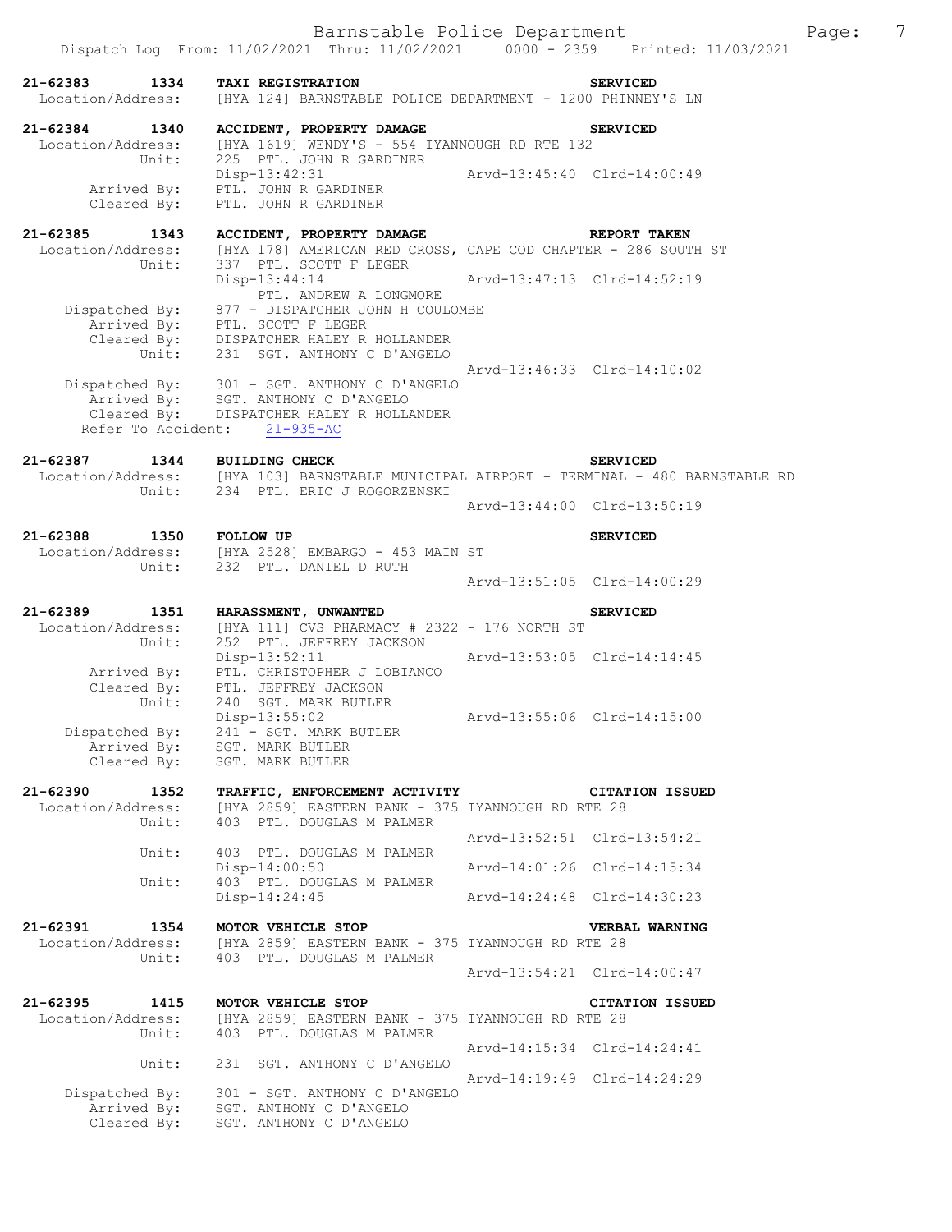Dispatch Log From: 11/02/2021 Thru: 11/02/2021 0000 - 2359 Printed: 11/03/2021 **21-62383 1334 TAXI REGISTRATION SERVICED**  Location/Address: [HYA 124] BARNSTABLE POLICE DEPARTMENT - 1200 PHINNEY'S LN **21-62384 1340 ACCIDENT, PROPERTY DAMAGE SERVICED**  Location/Address: [HYA 1619] WENDY'S - 554 IYANNOUGH RD RTE 132 Unit: 225 PTL. JOHN R GARDINER Disp-13:42:31 Arvd-13:45:40 Clrd-14:00:49 Arrived By: PTL. JOHN R GARDINER Cleared By: PTL. JOHN R GARDINER **21-62385 1343 ACCIDENT, PROPERTY DAMAGE REPORT TAKEN**  Location/Address: [HYA 178] AMERICAN RED CROSS, CAPE COD CHAPTER - 286 SOUTH ST Unit: 337 PTL. SCOTT F LEGER Disp-13:44:14 Arvd-13:47:13 Clrd-14:52:19 PTL. ANDREW A LONGMORE Dispatched By: 877 - DISPATCHER JOHN H COULOMBE Arrived By: PTL. SCOTT F LEGER Cleared By: DISPATCHER HALEY R HOLLANDER Unit: 231 SGT. ANTHONY C D'ANGELO Arvd-13:46:33 Clrd-14:10:02 Dispatched By: 301 - SGT. ANTHONY C D'ANGELO Arrived By: SGT. ANTHONY C D'ANGELO Cleared By: DISPATCHER HALEY R HOLLANDER Refer To Accident: 21-935-AC **21-62387 1344 BUILDING CHECK SERVICED**  [HYA 103] BARNSTABLE MUNICIPAL AIRPORT - TERMINAL - 480 BARNSTABLE RD Unit: 234 PTL. ERIC J ROGORZENSKI Arvd-13:44:00 Clrd-13:50:19 **21-62388 1350 FOLLOW UP SERVICED**  Location/Address: [HYA 2528] EMBARGO - 453 MAIN ST Unit: 232 PTL. DANIEL D RUTH Arvd-13:51:05 Clrd-14:00:29 **21-62389 1351 HARASSMENT, UNWANTED SERVICED**  Location/Address: [HYA 111] CVS PHARMACY # 2322 - 176 NORTH ST Unit: 252 PTL. JEFFREY JACKSON<br>Disp-13:52:11 Disp-13:52:11 Arvd-13:53:05 Clrd-14:14:45 Arrived By: PTL. CHRISTOPHER J LOBIANCO Cleared By: PTL. JEFFREY JACKSON Unit: 240 SGT. MARK BUTLER Disp-13:55:02 Arvd-13:55:06 Clrd-14:15:00 Dispatched By: 241 - SGT. MARK BUTLER Arrived By: SGT. MARK BUTLER Cleared By: SGT. MARK BUTLER **21-62390 1352 TRAFFIC, ENFORCEMENT ACTIVITY CITATION ISSUED**  Location/Address: [HYA 2859] EASTERN BANK - 375 IYANNOUGH RD RTE 28<br>Unit: 403 PTL. DOUGLAS M PALMER Unit: 403 PTL. DOUGLAS M PALMER Arvd-13:52:51 Clrd-13:54:21 Unit: 403 PTL. DOUGLAS M PALMER<br>Disp-14:00:50 Disp-14:00:50 Arvd-14:01:26 Clrd-14:15:34 Unit: 403 PTL. DOUGLAS M PALMER Disp-14:24:45 Arvd-14:24:48 Clrd-14:30:23 **21-62391 1354 MOTOR VEHICLE STOP VERBAL WARNING**  Location/Address: [HYA 2859] EASTERN BANK - 375 IYANNOUGH RD RTE 28 Unit: 403 PTL. DOUGLAS M PALMER Arvd-13:54:21 Clrd-14:00:47 **21-62395 1415 MOTOR VEHICLE STOP CITATION ISSUED**  [HYA 2859] EASTERN BANK - 375 IYANNOUGH RD RTE 28 Unit: 403 PTL. DOUGLAS M PALMER Arvd-14:15:34 Clrd-14:24:41<br>Unit: 231 SGT. ANTHONY C D'ANGELO 231 SGT. ANTHONY C D'ANGELO Arvd-14:19:49 Clrd-14:24:29 Dispatched By: 301 - SGT. ANTHONY C D'ANGELO Arrived By: SGT. ANTHONY C D'ANGELO Cleared By: SGT. ANTHONY C D'ANGELO

Barnstable Police Department Page: 7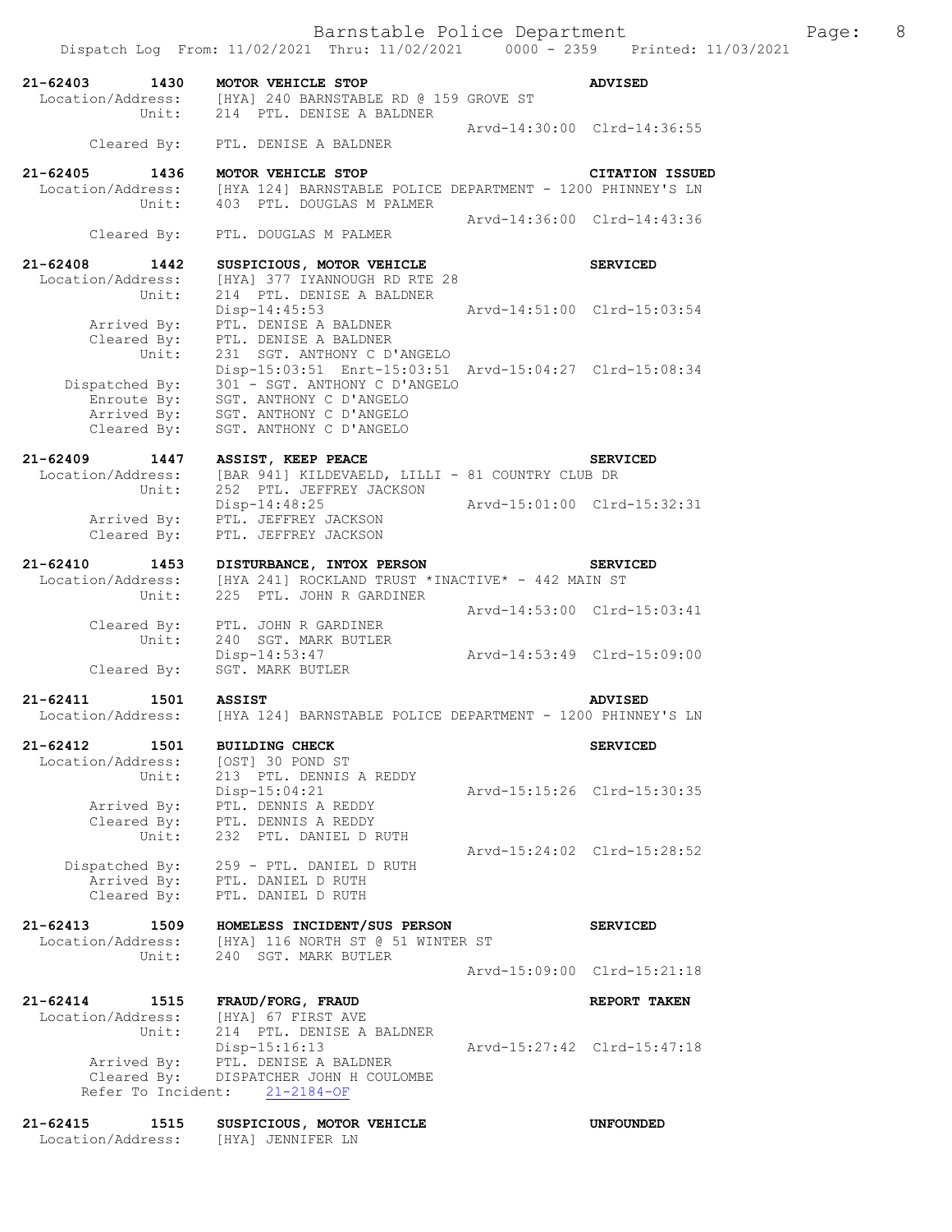|                                            | Dispatch Log From: 11/02/2021 Thru: 11/02/2021 0000 - 2359 Printed: 11/03/2021                                      |                             |                             |  |
|--------------------------------------------|---------------------------------------------------------------------------------------------------------------------|-----------------------------|-----------------------------|--|
| 21-62403 1430<br>Unit:                     | MOTOR VEHICLE STOP<br>Location/Address: [HYA] 240 BARNSTABLE RD @ 159 GROVE ST<br>214 PTL. DENISE A BALDNER         |                             | <b>ADVISED</b>              |  |
| Cleared By:                                | PTL. DENISE A BALDNER                                                                                               |                             | Arvd-14:30:00 Clrd-14:36:55 |  |
| $21 - 62405$<br>1436                       | MOTOR VEHICLE STOP                                                                                                  |                             | <b>CITATION ISSUED</b>      |  |
| Unit:                                      | Location/Address: [HYA 124] BARNSTABLE POLICE DEPARTMENT - 1200 PHINNEY'S LN<br>403 PTL. DOUGLAS M PALMER           |                             |                             |  |
| Cleared By:                                | PTL. DOUGLAS M PALMER                                                                                               |                             | Arvd-14:36:00 Clrd-14:43:36 |  |
| $21 - 62408$<br>1442                       | SUSPICIOUS, MOTOR VEHICLE                                                                                           |                             | <b>SERVICED</b>             |  |
| Location/Address:<br>Unit:                 | [HYA] 377 IYANNOUGH RD RTE 28<br>214 PTL. DENISE A BALDNER<br>Disp-14:45:53                                         | Arvd-14:51:00 Clrd-15:03:54 |                             |  |
| Arrived By:<br>Cleared By:<br>Unit:        | PTL. DENISE A BALDNER<br>PTL. DENISE A BALDNER<br>231 SGT. ANTHONY C D'ANGELO                                       |                             |                             |  |
| Dispatched $By:$<br>Enroute By:            | Disp-15:03:51 Enrt-15:03:51 Arvd-15:04:27 Clrd-15:08:34<br>301 - SGT. ANTHONY C D'ANGELO<br>SGT. ANTHONY C D'ANGELO |                             |                             |  |
| Arrived By:<br>Cleared By:                 | SGT. ANTHONY C D'ANGELO<br>SGT. ANTHONY C D'ANGELO                                                                  |                             |                             |  |
|                                            | 21-62409 1447 ASSIST, KEEP PEACE                                                                                    |                             | <b>SERVICED</b>             |  |
| Unit:                                      | Location/Address: [BAR 941] KILDEVAELD, LILLI - 81 COUNTRY CLUB DR<br>252 PTL. JEFFREY JACKSON                      |                             |                             |  |
| Arrived By:                                | Disp-14:48:25<br>PTL. JEFFREY JACKSON                                                                               | Arvd-15:01:00 Clrd-15:32:31 |                             |  |
| Cleared By:                                | PTL. JEFFREY JACKSON                                                                                                |                             |                             |  |
| $21 - 62410$<br>Location/Address:<br>Unit: | 1453 DISTURBANCE, INTOX PERSON<br>[HYA 241] ROCKLAND TRUST *INACTIVE* - 442 MAIN ST<br>225 PTL. JOHN R GARDINER     |                             | <b>SERVICED</b>             |  |
|                                            |                                                                                                                     |                             | Arvd-14:53:00 Clrd-15:03:41 |  |
| Unit:                                      | Cleared By: PTL. JOHN R GARDINER<br>240 SGT. MARK BUTLER<br>Disp-14:53:47                                           | Arvd-14:53:49 Clrd-15:09:00 |                             |  |
| Cleared By:                                | SGT. MARK BUTLER                                                                                                    |                             |                             |  |
| 21-62411<br>1501<br>Location/Address:      | <b>ASSIST</b><br>[HYA 124] BARNSTABLE POLICE DEPARTMENT - 1200 PHINNEY'S LN                                         |                             | <b>ADVISED</b>              |  |
| $21 - 62412$<br>1501                       | <b>BUILDING CHECK</b>                                                                                               |                             | <b>SERVICED</b>             |  |
| Location/Address:<br>Unit:                 | [OST] 30 POND ST<br>213 PTL. DENNIS A REDDY                                                                         |                             |                             |  |
| Arrived By:                                | Disp-15:04:21<br>PTL. DENNIS A REDDY                                                                                |                             | Arvd-15:15:26 Clrd-15:30:35 |  |
| Cleared By:<br>Unit:                       | PTL. DENNIS A REDDY<br>232 PTL. DANIEL D RUTH                                                                       |                             |                             |  |
| Dispatched By:                             | 259 - PTL. DANIEL D RUTH                                                                                            |                             | Arvd-15:24:02 Clrd-15:28:52 |  |
| Cleared By:                                | Arrived By: PTL. DANIEL D RUTH<br>PTL. DANIEL D RUTH                                                                |                             |                             |  |
| $21 - 62413$<br>1509<br>Location/Address:  | HOMELESS INCIDENT/SUS PERSON<br>[HYA] 116 NORTH ST @ 51 WINTER ST                                                   |                             | <b>SERVICED</b>             |  |
| Unit:                                      | 240 SGT. MARK BUTLER                                                                                                |                             | Arvd-15:09:00 Clrd-15:21:18 |  |
| $21 - 62414$<br>1515                       | FRAUD/FORG, FRAUD                                                                                                   |                             | REPORT TAKEN                |  |
| Location/Address:<br>Unit:                 | [HYA] 67 FIRST AVE<br>214 PTL. DENISE A BALDNER                                                                     |                             |                             |  |
| Arrived By:                                | Disp-15:16:13<br>PTL. DENISE A BALDNER                                                                              |                             | Arvd-15:27:42 Clrd-15:47:18 |  |
| Cleared By:                                | DISPATCHER JOHN H COULOMBE<br>Refer To Incident: 21-2184-OF                                                         |                             |                             |  |
| $21 - 62415$<br>1515                       | SUSPICIOUS, MOTOR VEHICLE                                                                                           |                             | <b>UNFOUNDED</b>            |  |

Location/Address: [HYA] JENNIFER LN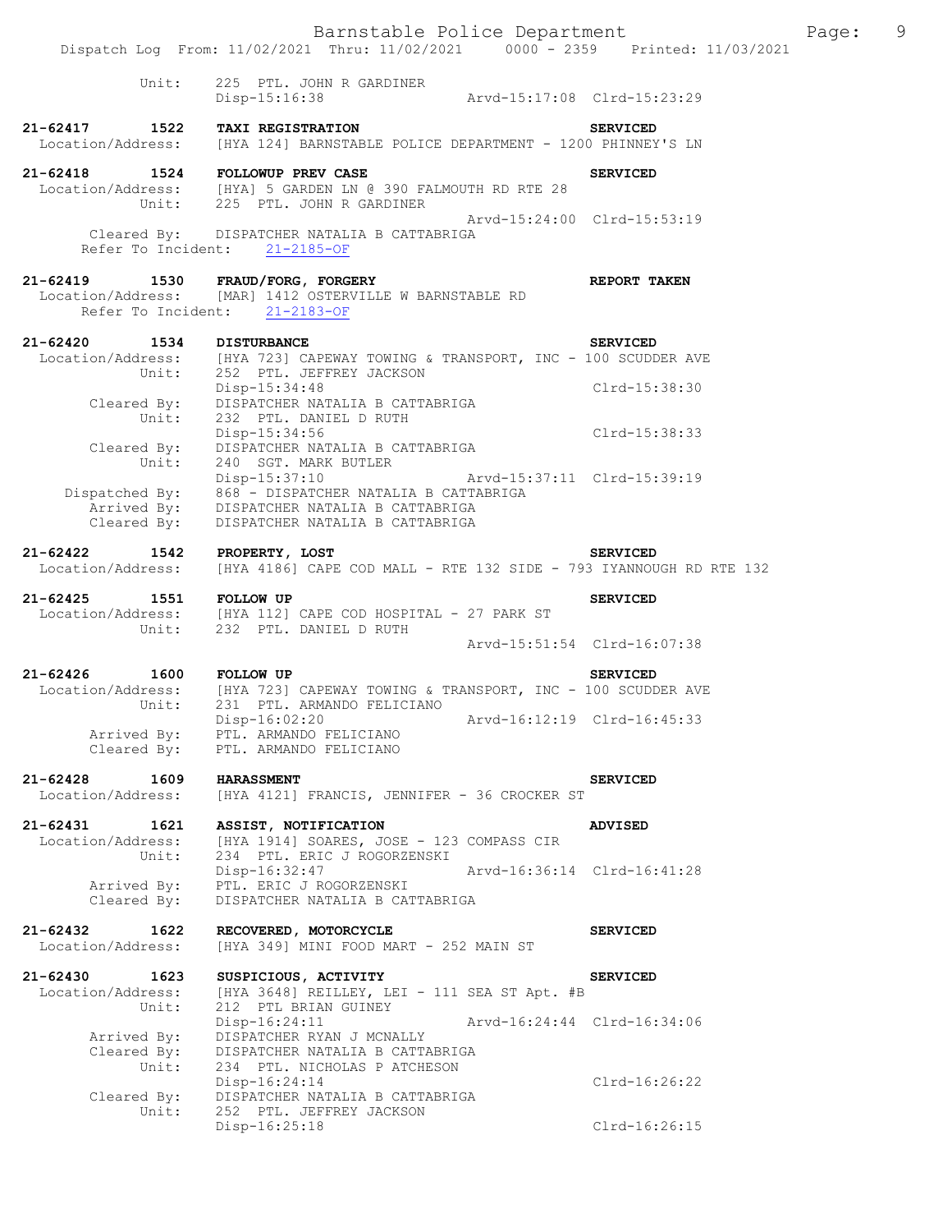|                                                   | Barnstable Police Department<br>Dispatch Log From: 11/02/2021 Thru: 11/02/2021 0000 - 2359 Printed: 11/03/2021                                                                      |                             |                             | Page: | 9 |
|---------------------------------------------------|-------------------------------------------------------------------------------------------------------------------------------------------------------------------------------------|-----------------------------|-----------------------------|-------|---|
|                                                   |                                                                                                                                                                                     |                             |                             |       |   |
| Unit:                                             | 225 PTL. JOHN R GARDINER<br>Disp-15:16:38 Arvd-15:17:08 Clrd-15:23:29                                                                                                               |                             |                             |       |   |
|                                                   | 21-62417 1522 TAXI REGISTRATION SERVICED SERVICED<br>Location/Address: [HYA 124] BARNSTABLE POLICE DEPARTMENT - 1200 PHINNEY'S LN                                                   |                             |                             |       |   |
| 21-62418 1524 FOLLOWUP PREV CASE                  | Location/Address: [HYA] 5 GARDEN LN @ 390 FALMOUTH RD RTE 28<br>Unit: 225 PTL. JOHN R GARDINER                                                                                      |                             | <b>SERVICED</b>             |       |   |
|                                                   | Cleared By: DISPATCHER NATALIA B CATTABRIGA<br>Refer To Incident: 21-2185-OF                                                                                                        |                             | Arvd-15:24:00 Clrd-15:53:19 |       |   |
|                                                   | 21-62419 1530 FRAUD/FORG, FORGERY<br>Location/Address: [MAR] 1412 OSTERVILLE W BARNSTABLE RD<br>Refer To Incident: 21-2183-OF                                                       |                             | REPORT TAKEN                |       |   |
| 21-62420 1534 DISTURBANCE                         | Location/Address: [HYA 723] CAPEWAY TOWING & TRANSPORT, INC - 100 SCUDDER AVE<br>Unit: 252 PTL. JEFFREY JACKSON                                                                     |                             | <b>SERVICED</b>             |       |   |
| Cleared By:<br>Unit:                              | Disp-15:34:48<br>DISPATCHER NATALIA B CATTABRIGA<br>232 PTL. DANIEL D RUTH                                                                                                          |                             | Clrd-15:38:30               |       |   |
| Unit:                                             | Disp-15:34:56<br>Cleared By: DISPATCHER NATALIA B CATTABRIGA<br>240 SGT. MARK BUTLER                                                                                                |                             | Clrd-15:38:33               |       |   |
| Cleared By:                                       | Disp-15:37:10 Arvd-15:37:11 Clrd-15:39:19<br>Dispatched By: 868 - DISPATCHER NATALIA B CATTABRIGA<br>Arrived By: DISPATCHER NATALIA B CATTABRIGA<br>DISPATCHER NATALIA B CATTABRIGA |                             |                             |       |   |
| 21-62422 1542 PROPERTY, LOST<br>Location/Address: | [HYA 4186] CAPE COD MALL - RTE 132 SIDE - 793 IYANNOUGH RD RTE 132                                                                                                                  |                             | <b>SERVICED</b>             |       |   |
| 21-62425 1551 FOLLOW UP                           | Location/Address: [HYA 112] CAPE COD HOSPITAL - 27 PARK ST<br>Unit: 232 PTL. DANIEL D RUTH                                                                                          |                             | <b>SERVICED</b>             |       |   |
|                                                   |                                                                                                                                                                                     |                             | Arvd-15:51:54 Clrd-16:07:38 |       |   |
| 1600 FOLLOW UP<br>21-62426                        | Location/Address: [HYA 723] CAPEWAY TOWING & TRANSPORT, INC - 100 SCUDDER AVE<br>Unit: 231 PTL. ARMANDO FELICIANO                                                                   |                             | <b>SERVICED</b>             |       |   |
| Arrived By:<br>Cleared By:                        | Disp-16:02:20<br>PTL. ARMANDO FELICIANO<br>PTL. ARMANDO FELICIANO                                                                                                                   |                             | Arvd-16:12:19 Clrd-16:45:33 |       |   |
| 21-62428<br>1609<br>Location/Address:             | <b>HARASSMENT</b><br>[HYA 4121] FRANCIS, JENNIFER - 36 CROCKER ST                                                                                                                   |                             | <b>SERVICED</b>             |       |   |
| 21-62431<br>1621<br>Location/Address:<br>Unit:    | ASSIST, NOTIFICATION<br>[HYA 1914] SOARES, JOSE - 123 COMPASS CIR<br>234 PTL. ERIC J ROGORZENSKI                                                                                    |                             | <b>ADVISED</b>              |       |   |
| Arrived By:<br>Cleared By:                        | Disp-16:32:47<br>PTL. ERIC J ROGORZENSKI<br>DISPATCHER NATALIA B CATTABRIGA                                                                                                         |                             | Arvd-16:36:14 Clrd-16:41:28 |       |   |
| 21-62432<br>1622<br>Location/Address:             | RECOVERED, MOTORCYCLE<br>[HYA 349] MINI FOOD MART - 252 MAIN ST                                                                                                                     |                             | <b>SERVICED</b>             |       |   |
| 21-62430<br>1623<br>Location/Address:<br>Unit:    | SUSPICIOUS, ACTIVITY<br>[HYA 3648] REILLEY, LEI - 111 SEA ST Apt. #B<br>212 PTL BRIAN GUINEY                                                                                        |                             | <b>SERVICED</b>             |       |   |
| Arrived By:<br>Cleared By:                        | $Disp-16:24:11$<br>DISPATCHER RYAN J MCNALLY<br>DISPATCHER NATALIA B CATTABRIGA                                                                                                     | Arvd-16:24:44 Clrd-16:34:06 |                             |       |   |
| Unit:<br>Cleared By:                              | 234 PTL. NICHOLAS P ATCHESON<br>Disp-16:24:14<br>DISPATCHER NATALIA B CATTABRIGA                                                                                                    |                             | Clrd-16:26:22               |       |   |
| Unit:                                             | 252 PTL. JEFFREY JACKSON<br>Disp-16:25:18                                                                                                                                           |                             | Clrd-16:26:15               |       |   |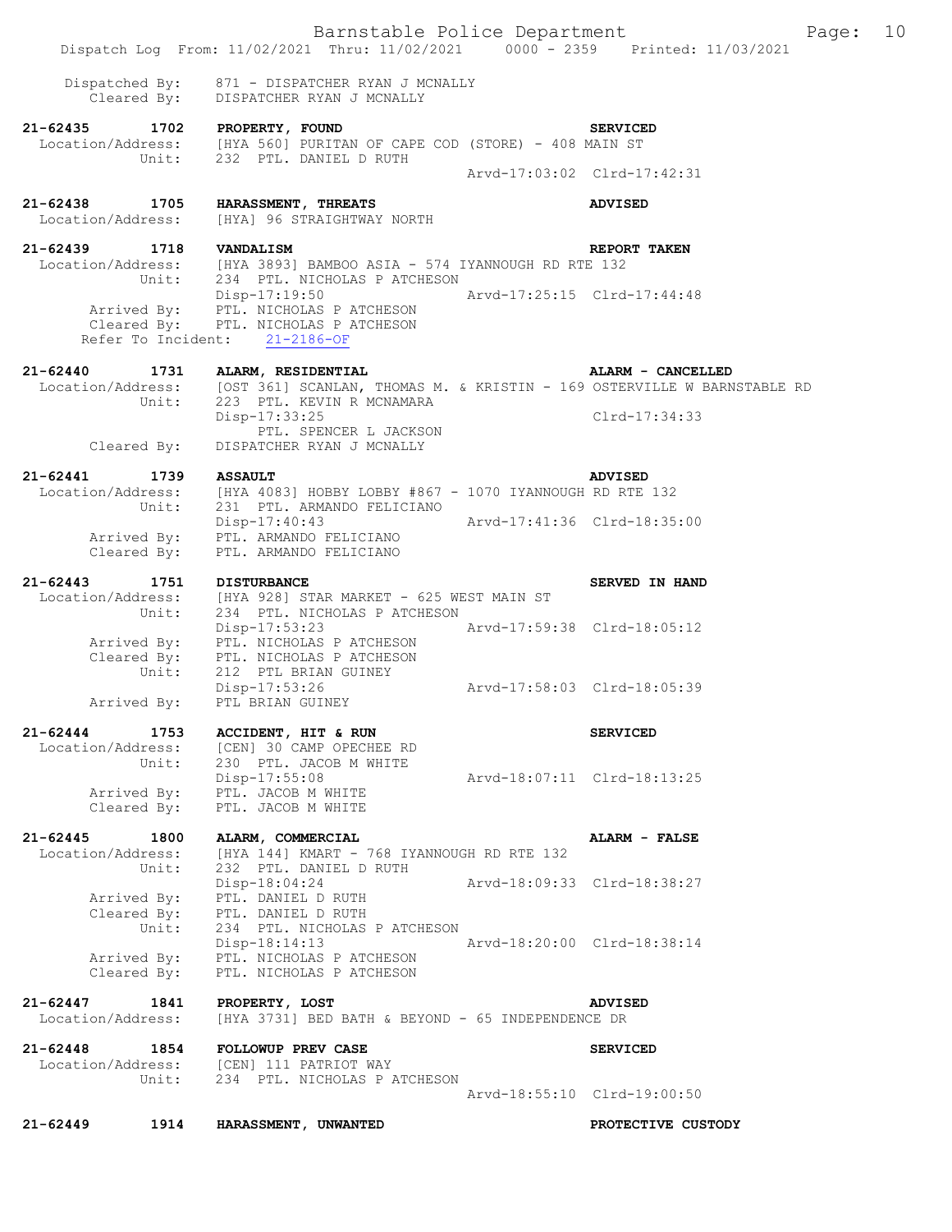|                                       | Barnstable Police Department<br>Dispatch Log From: 11/02/2021 Thru: 11/02/2021 0000 - 2359 Printed: 11/03/2021                                          |                             |                    | Page: | 10 |
|---------------------------------------|---------------------------------------------------------------------------------------------------------------------------------------------------------|-----------------------------|--------------------|-------|----|
|                                       |                                                                                                                                                         |                             |                    |       |    |
| Dispatched By:                        | 871 - DISPATCHER RYAN J MCNALLY<br>Cleared By: DISPATCHER RYAN J MCNALLY                                                                                |                             |                    |       |    |
| $21 - 62435$                          | 1702 PROPERTY, FOUND<br>Location/Address: [HYA 560] PURITAN OF CAPE COD (STORE) - 408 MAIN ST<br>Unit: 232 PTL. DANIEL D RUTH<br>232 PTL. DANIEL D RUTH |                             | <b>SERVICED</b>    |       |    |
|                                       |                                                                                                                                                         | Arvd-17:03:02 Clrd-17:42:31 |                    |       |    |
| 21-62438 1705<br>Location/Address:    | HARASSMENT, THREATS<br>[HYA] 96 STRAIGHTWAY NORTH                                                                                                       |                             | <b>ADVISED</b>     |       |    |
| 21-62439                              | 1718 VANDALISM                                                                                                                                          |                             | REPORT TAKEN       |       |    |
|                                       | Location/Address: [HYA 3893] BAMBOO ASIA - 574 IYANNOUGH RD RTE 132<br>Unit: 234 PTL. NICHOLAS P ATCHESON                                               |                             |                    |       |    |
|                                       | Disp-17:19:50<br>Arrived By: PTL. NICHOLAS P ATCHESON<br>Cleared By: PTL. NICHOLAS P ATCHESON<br>Refer To Incident: 21-2186-OF                          | Arvd-17:25:15 Clrd-17:44:48 |                    |       |    |
| $21 - 62440$<br>1731                  | ALARM, RESIDENTIAL<br>Location/Address: [OST 361] SCANLAN, THOMAS M. & KRISTIN - 169 OSTERVILLE W BARNSTABLE RD<br>Unit: 223 PTL. KEVIN R MCNAMARA      |                             | ALARM - CANCELLED  |       |    |
| Cleared By:                           | Disp-17:33:25<br>PTL. SPENCER L JACKSON<br>DISPATCHER RYAN J MCNALLY                                                                                    |                             | $Clrd-17:34:33$    |       |    |
| $21 - 62441$<br>1739                  | <b>ASSAULT</b>                                                                                                                                          |                             | <b>ADVISED</b>     |       |    |
| Unit:                                 | Location/Address: [HYA 4083] HOBBY LOBBY #867 - 1070 IYANNOUGH RD RTE 132<br>231 PTL. ARMANDO FELICIANO                                                 |                             |                    |       |    |
|                                       | Disp-17:40:43                                                                                                                                           | Arvd-17:41:36 Clrd-18:35:00 |                    |       |    |
| Cleared By:                           | Arrived By: PTL. ARMANDO FELICIANO<br>PTL. ARMANDO FELICIANO                                                                                            |                             |                    |       |    |
| $21 - 62443$                          | 1751 DISTURBANCE                                                                                                                                        |                             | SERVED IN HAND     |       |    |
| Unit:                                 | Location/Address: [HYA 928] STAR MARKET - 625 WEST MAIN ST<br>234 PTL. NICHOLAS P ATCHESON<br>Disp-17:53:23                                             | Arvd-17:59:38 Clrd-18:05:12 |                    |       |    |
|                                       | Arrived By: PTL. NICHOLAS P ATCHESON<br>Cleared By: PTL. NICHOLAS P ATCHESON<br>Unit: 212 PTL BRIAN GUINEY                                              |                             |                    |       |    |
|                                       | Disp-17:53:26<br>Arrived By: PTL BRIAN GUINEY                                                                                                           | Arvd-17:58:03 Clrd-18:05:39 |                    |       |    |
| $21 - 62444$<br>1753                  | ACCIDENT, HIT & RUN                                                                                                                                     |                             | <b>SERVICED</b>    |       |    |
|                                       | Location/Address: [CEN] 30 CAMP OPECHEE RD<br>Unit: 230 PTL. JACOB M WHITE                                                                              |                             |                    |       |    |
| Arrived By:<br>Cleared By:            | Disp-17:55:08<br>PTL. JACOB M WHITE<br>PTL. JACOB M WHITE                                                                                               | Arvd-18:07:11 Clrd-18:13:25 |                    |       |    |
| $21 - 62445$<br>1800                  |                                                                                                                                                         |                             |                    |       |    |
| Location/Address:                     | ALARM, COMMERCIAL<br>[HYA 144] KMART - 768 IYANNOUGH RD RTE 132                                                                                         |                             | ALARM - FALSE      |       |    |
| Unit:                                 | 232 PTL. DANIEL D RUTH<br>Disp-18:04:24                                                                                                                 | Arvd-18:09:33 Clrd-18:38:27 |                    |       |    |
| Arrived By:                           | PTL. DANIEL D RUTH<br>Cleared By: PTL. DANIEL D RUTH                                                                                                    |                             |                    |       |    |
| Unit:                                 | 234 PTL. NICHOLAS P ATCHESON<br>Disp-18:14:13                                                                                                           | Arvd-18:20:00 Clrd-18:38:14 |                    |       |    |
| Cleared By:                           | Arrived By: PTL. NICHOLAS P ATCHESON<br>PTL. NICHOLAS P ATCHESON                                                                                        |                             |                    |       |    |
| 21-62447<br>1841<br>Location/Address: | PROPERTY, LOST<br>[HYA 3731] BED BATH & BEYOND - 65 INDEPENDENCE DR                                                                                     |                             | <b>ADVISED</b>     |       |    |
| 21-62448 1854<br>Unit:                | <b>FOLLOWUP PREV CASE</b><br>Location/Address: [CEN] 111 PATRIOT WAY<br>234 PTL. NICHOLAS P ATCHESON                                                    |                             | <b>SERVICED</b>    |       |    |
|                                       |                                                                                                                                                         | Arvd-18:55:10 Clrd-19:00:50 |                    |       |    |
| $21 - 62449$<br>1914                  | HARASSMENT, UNWANTED                                                                                                                                    |                             | PROTECTIVE CUSTODY |       |    |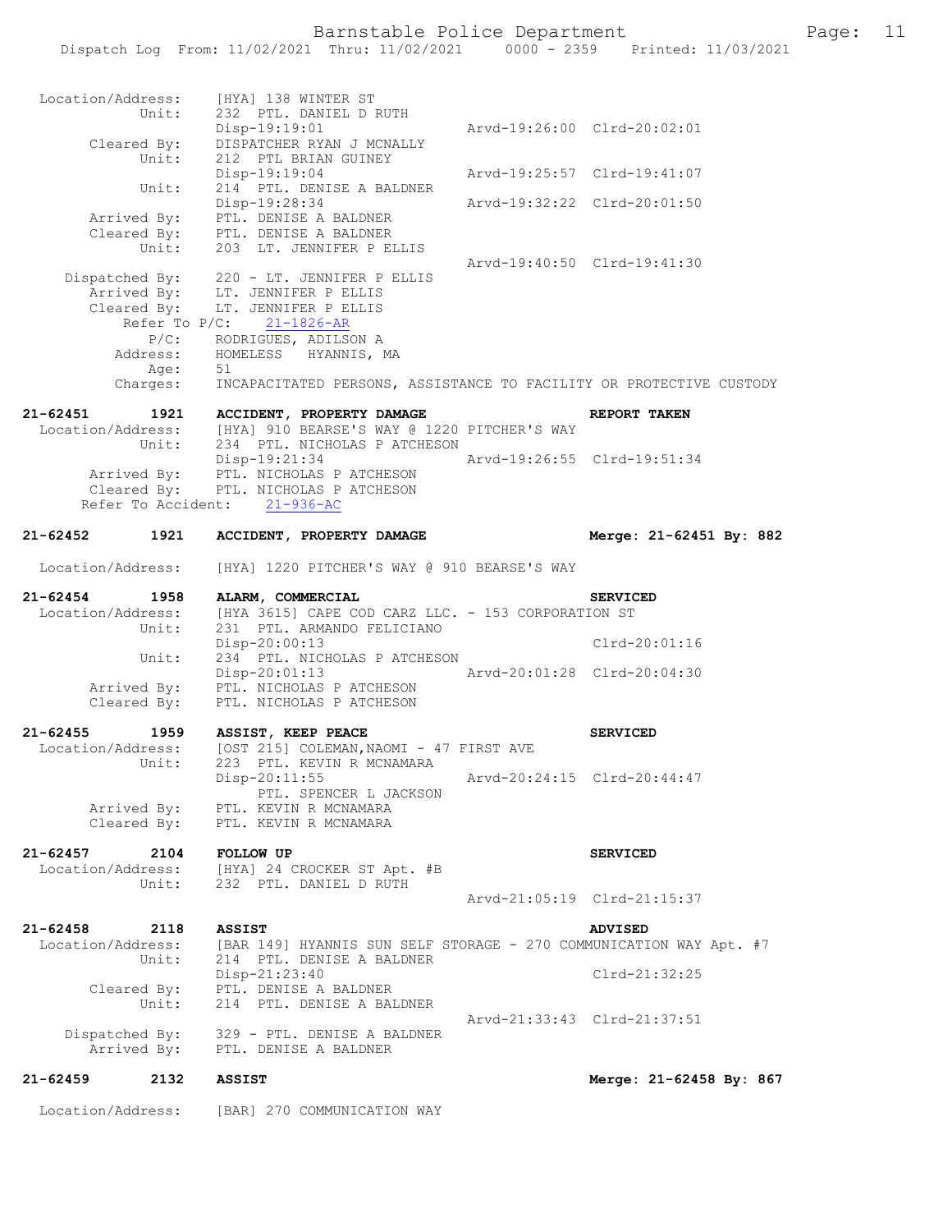## Barnstable Police Department Fage: 11

|                               | Location/Address:          | [BAR] 270 COMMUNICATION WAY                                                                                      |                             |                                              |
|-------------------------------|----------------------------|------------------------------------------------------------------------------------------------------------------|-----------------------------|----------------------------------------------|
| 21-62459                      | 2132                       | <b>ASSIST</b>                                                                                                    |                             | Merge: 21-62458 By: 867                      |
| Dispatched By:                | Arrived By:                | 329 - PTL. DENISE A BALDNER<br>PTL. DENISE A BALDNER                                                             |                             | Arvd-21:33:43 Clrd-21:37:51                  |
|                               | Unit:                      | $Disp-21:23:40$<br>Cleared By: PTL. DENISE A BALDNER<br>214 PTL. DENISE A BALDNER                                |                             | $Clrd-21:32:25$                              |
| 21-62458<br>Location/Address: | 2118<br>Unit:              | <b>ASSIST</b><br>[BAR 149] HYANNIS SUN SELF STORAGE - 270 COMMUNICATION WAY Apt. #7<br>214 PTL. DENISE A BALDNER |                             | <b>ADVISED</b>                               |
|                               |                            |                                                                                                                  |                             | Arvd-21:05:19 Clrd-21:15:37                  |
| 21-62457                      | 2104<br>Unit:              | <b>FOLLOW UP</b><br>Location/Address: [HYA] 24 CROCKER ST Apt. #B<br>232 PTL. DANIEL D RUTH                      |                             | <b>SERVICED</b>                              |
| Arrived By:<br>Cleared By:    |                            | PTL. KEVIN R MCNAMARA<br>PTL. KEVIN R MCNAMARA                                                                   |                             |                                              |
|                               | Unit:                      | 223 PTL. KEVIN R MCNAMARA<br>$Disp-20:11:55$<br>PTL. SPENCER L JACKSON                                           |                             | Arvd-20:24:15 Clrd-20:44:47                  |
| 21-62455<br>Location/Address: | 1959                       | ASSIST, KEEP PEACE<br>[OST 215] COLEMAN, NAOMI - 47 FIRST AVE                                                    |                             | <b>SERVICED</b>                              |
|                               | Arrived By:<br>Cleared By: | PTL. NICHOLAS P ATCHESON<br>PTL. NICHOLAS P ATCHESON                                                             |                             |                                              |
|                               | Unit:                      | $Disp-20:00:13$<br>234 PTL. NICHOLAS P ATCHESON<br>$Disp-20:01:13$                                               |                             | Clrd-20:01:16<br>Arvd-20:01:28 Clrd-20:04:30 |
| Location/Address:             | Unit:                      | [HYA 3615] CAPE COD CARZ LLC. - 153 CORPORATION ST<br>231 PTL. ARMANDO FELICIANO                                 |                             |                                              |
| 21-62454                      | 1958                       | ALARM, COMMERCIAL                                                                                                |                             | <b>SERVICED</b>                              |
| 21-62452<br>Location/Address: | 1921                       | ACCIDENT, PROPERTY DAMAGE<br>[HYA] 1220 PITCHER'S WAY @ 910 BEARSE'S WAY                                         |                             | Merge: 21-62451 By: 882                      |
|                               |                            | Arrived By: PTL. NICHOLAS P ATCHESON<br>Cleared By: PTL. NICHOLAS P ATCHESON<br>Refer To Accident: 21-936-AC     |                             |                                              |
|                               |                            | Unit: 234 PTL. NICHOLAS P ATCHESON<br>Disp-19:21:34                                                              | Arvd-19:26:55 Clrd-19:51:34 |                                              |
| 21-62451                      |                            | 1921 ACCIDENT, PROPERTY DAMAGE<br>Location/Address: [HYA] 910 BEARSE'S WAY @ 1220 PITCHER'S WAY                  |                             | REPORT TAKEN                                 |
|                               | Age:                       | 51<br>Charges: INCAPACITATED PERSONS, ASSISTANCE TO FACILITY OR PROTECTIVE CUSTODY                               |                             |                                              |
|                               |                            | P/C: RODRIGUES, ADILSON A<br>Address: HOMELESS HYANNIS, MA                                                       |                             |                                              |
|                               | Refer To $P/C$ :           | Cleared By: LT. JENNIFER P ELLIS<br>$21 - 1826 - AR$                                                             |                             |                                              |
|                               |                            | Dispatched By: 220 - LT. JENNIFER P ELLIS<br>Arrived By: LT. JENNIFER P ELLIS                                    | Arvd-19:40:50 Clrd-19:41:30 |                                              |
|                               |                            | Cleared By: PTL. DENISE A BALDNER<br>Unit: 203 LT. JENNIFER P ELLIS                                              |                             |                                              |
|                               | Arrived By:                | Disp-19:28:34<br>PTL. DENISE A BALDNER                                                                           | Arvd-19:32:22 Clrd-20:01:50 |                                              |
|                               | Unit:<br>Unit:             | 212 PTL BRIAN GUINEY<br>Disp-19:19:04<br>214 PTL. DENISE A BALDNER                                               |                             | Arvd-19:25:57 Clrd-19:41:07                  |
|                               | Unit:<br>Cleared By:       | 232 PTL. DANIEL D RUTH<br>Disp-19:19:01<br>DISPATCHER RYAN J MCNALLY                                             |                             | Arvd-19:26:00 Clrd-20:02:01                  |
|                               |                            |                                                                                                                  |                             |                                              |